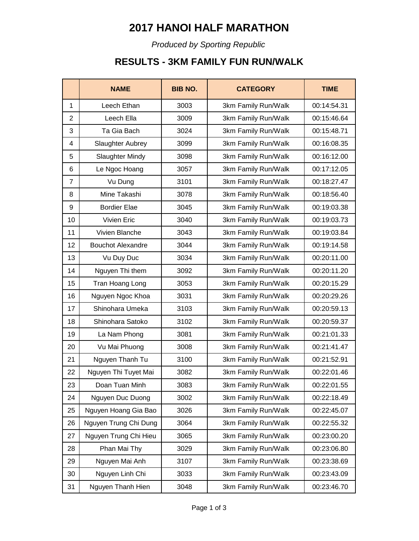# **2017 HANOI HALF MARATHON**

*Produced by Sporting Republic*

### **RESULTS - 3KM FAMILY FUN RUN/WALK**

|                | <b>NAME</b>              | <b>BIB NO.</b> | <b>CATEGORY</b>     | <b>TIME</b> |
|----------------|--------------------------|----------------|---------------------|-------------|
| $\mathbf{1}$   | Leech Ethan              | 3003           | 3km Family Run/Walk | 00:14:54.31 |
| $\overline{2}$ | Leech Ella               | 3009           | 3km Family Run/Walk | 00:15:46.64 |
| 3              | Ta Gia Bach              | 3024           | 3km Family Run/Walk | 00:15:48.71 |
| 4              | Slaughter Aubrey         | 3099           | 3km Family Run/Walk | 00:16:08.35 |
| 5              | <b>Slaughter Mindy</b>   | 3098           | 3km Family Run/Walk | 00:16:12.00 |
| 6              | Le Ngoc Hoang            | 3057           | 3km Family Run/Walk | 00:17:12.05 |
| $\overline{7}$ | Vu Dung                  | 3101           | 3km Family Run/Walk | 00:18:27.47 |
| 8              | Mine Takashi             | 3078           | 3km Family Run/Walk | 00:18:56.40 |
| 9              | <b>Bordier Elae</b>      | 3045           | 3km Family Run/Walk | 00:19:03.38 |
| 10             | Vivien Eric              | 3040           | 3km Family Run/Walk | 00:19:03.73 |
| 11             | Vivien Blanche           | 3043           | 3km Family Run/Walk | 00:19:03.84 |
| 12             | <b>Bouchot Alexandre</b> | 3044           | 3km Family Run/Walk | 00:19:14.58 |
| 13             | Vu Duy Duc               | 3034           | 3km Family Run/Walk | 00:20:11.00 |
| 14             | Nguyen Thi them          | 3092           | 3km Family Run/Walk | 00:20:11.20 |
| 15             | Tran Hoang Long          | 3053           | 3km Family Run/Walk | 00:20:15.29 |
| 16             | Nguyen Ngoc Khoa         | 3031           | 3km Family Run/Walk | 00:20:29.26 |
| 17             | Shinohara Umeka          | 3103           | 3km Family Run/Walk | 00:20:59.13 |
| 18             | Shinohara Satoko         | 3102           | 3km Family Run/Walk | 00:20:59.37 |
| 19             | La Nam Phong             | 3081           | 3km Family Run/Walk | 00:21:01.33 |
| 20             | Vu Mai Phuong            | 3008           | 3km Family Run/Walk | 00:21:41.47 |
| 21             | Nguyen Thanh Tu          | 3100           | 3km Family Run/Walk | 00:21:52.91 |
| 22             | Nguyen Thi Tuyet Mai     | 3082           | 3km Family Run/Walk | 00:22:01.46 |
| 23             | Doan Tuan Minh           | 3083           | 3km Family Run/Walk | 00:22:01.55 |
| 24             | Nguyen Duc Duong         | 3002           | 3km Family Run/Walk | 00:22:18.49 |
| 25             | Nguyen Hoang Gia Bao     | 3026           | 3km Family Run/Walk | 00:22:45.07 |
| 26             | Nguyen Trung Chi Dung    | 3064           | 3km Family Run/Walk | 00:22:55.32 |
| 27             | Nguyen Trung Chi Hieu    | 3065           | 3km Family Run/Walk | 00:23:00.20 |
| 28             | Phan Mai Thy             | 3029           | 3km Family Run/Walk | 00:23:06.80 |
| 29             | Nguyen Mai Anh           | 3107           | 3km Family Run/Walk | 00:23:38.69 |
| 30             | Nguyen Linh Chi          | 3033           | 3km Family Run/Walk | 00:23:43.09 |
| 31             | Nguyen Thanh Hien        | 3048           | 3km Family Run/Walk | 00:23:46.70 |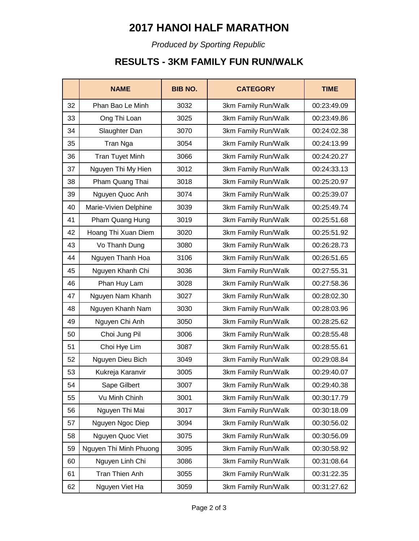# **2017 HANOI HALF MARATHON**

*Produced by Sporting Republic*

### **RESULTS - 3KM FAMILY FUN RUN/WALK**

|    | <b>NAME</b>            | <b>BIB NO.</b> | <b>CATEGORY</b>     | <b>TIME</b> |
|----|------------------------|----------------|---------------------|-------------|
| 32 | Phan Bao Le Minh       | 3032           | 3km Family Run/Walk | 00:23:49.09 |
| 33 | Ong Thi Loan           | 3025           | 3km Family Run/Walk | 00:23:49.86 |
| 34 | Slaughter Dan          | 3070           | 3km Family Run/Walk | 00:24:02.38 |
| 35 | Tran Nga               | 3054           | 3km Family Run/Walk | 00:24:13.99 |
| 36 | <b>Tran Tuyet Minh</b> | 3066           | 3km Family Run/Walk | 00:24:20.27 |
| 37 | Nguyen Thi My Hien     | 3012           | 3km Family Run/Walk | 00:24:33.13 |
| 38 | Pham Quang Thai        | 3018           | 3km Family Run/Walk | 00:25:20.97 |
| 39 | Nguyen Quoc Anh        | 3074           | 3km Family Run/Walk | 00:25:39.07 |
| 40 | Marie-Vivien Delphine  | 3039           | 3km Family Run/Walk | 00:25:49.74 |
| 41 | Pham Quang Hung        | 3019           | 3km Family Run/Walk | 00:25:51.68 |
| 42 | Hoang Thi Xuan Diem    | 3020           | 3km Family Run/Walk | 00:25:51.92 |
| 43 | Vo Thanh Dung          | 3080           | 3km Family Run/Walk | 00:26:28.73 |
| 44 | Nguyen Thanh Hoa       | 3106           | 3km Family Run/Walk | 00:26:51.65 |
| 45 | Nguyen Khanh Chi       | 3036           | 3km Family Run/Walk | 00:27:55.31 |
| 46 | Phan Huy Lam           | 3028           | 3km Family Run/Walk | 00:27:58.36 |
| 47 | Nguyen Nam Khanh       | 3027           | 3km Family Run/Walk | 00:28:02.30 |
| 48 | Nguyen Khanh Nam       | 3030           | 3km Family Run/Walk | 00:28:03.96 |
| 49 | Nguyen Chi Anh         | 3050           | 3km Family Run/Walk | 00:28:25.62 |
| 50 | Choi Jung Pil          | 3006           | 3km Family Run/Walk | 00:28:55.48 |
| 51 | Choi Hye Lim           | 3087           | 3km Family Run/Walk | 00:28:55.61 |
| 52 | Nguyen Dieu Bich       | 3049           | 3km Family Run/Walk | 00:29:08.84 |
| 53 | Kukreja Karanvir       | 3005           | 3km Family Run/Walk | 00:29:40.07 |
| 54 | Sape Gilbert           | 3007           | 3km Family Run/Walk | 00:29:40.38 |
| 55 | Vu Minh Chinh          | 3001           | 3km Family Run/Walk | 00:30:17.79 |
| 56 | Nguyen Thi Mai         | 3017           | 3km Family Run/Walk | 00:30:18.09 |
| 57 | Nguyen Ngoc Diep       | 3094           | 3km Family Run/Walk | 00:30:56.02 |
| 58 | Nguyen Quoc Viet       | 3075           | 3km Family Run/Walk | 00:30:56.09 |
| 59 | Nguyen Thi Minh Phuong | 3095           | 3km Family Run/Walk | 00:30:58.92 |
| 60 | Nguyen Linh Chi        | 3086           | 3km Family Run/Walk | 00:31:08.64 |
| 61 | Tran Thien Anh         | 3055           | 3km Family Run/Walk | 00:31:22.35 |
| 62 | Nguyen Viet Ha         | 3059           | 3km Family Run/Walk | 00:31:27.62 |